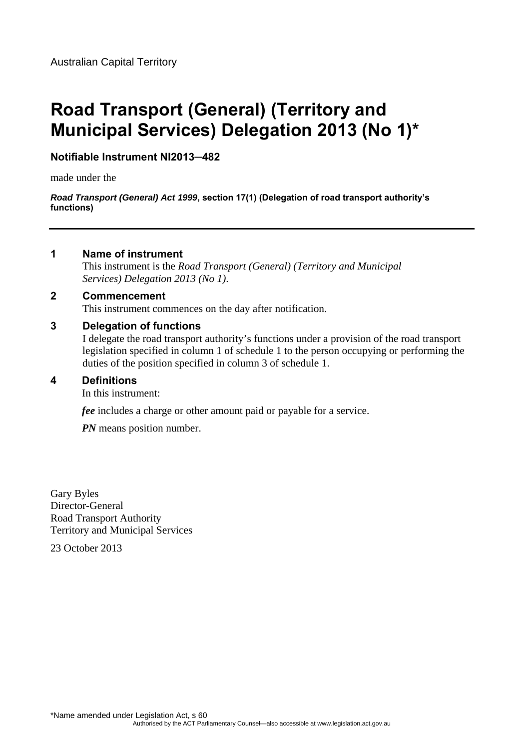# **Road Transport (General) (Territory and Municipal Services) Delegation 2013 (No 1)\***

## **Notifiable Instrument NI2013─482**

made under the

*Road Transport (General) Act 1999***, section 17(1) (Delegation of road transport authority's functions)**

## **1 Name of instrument**

This instrument is the *Road Transport (General) (Territory and Municipal Services) Delegation 2013 (No 1)*.

## **2 Commencement**

This instrument commences on the day after notification.

## **3 Delegation of functions**

I delegate the road transport authority's functions under a provision of the road transport legislation specified in column 1 of schedule 1 to the person occupying or performing the duties of the position specified in column 3 of schedule 1.

## **4 Definitions**

In this instrument:

*fee* includes a charge or other amount paid or payable for a service.

*PN* means position number.

Gary Byles Director-General Road Transport Authority Territory and Municipal Services

23 October 2013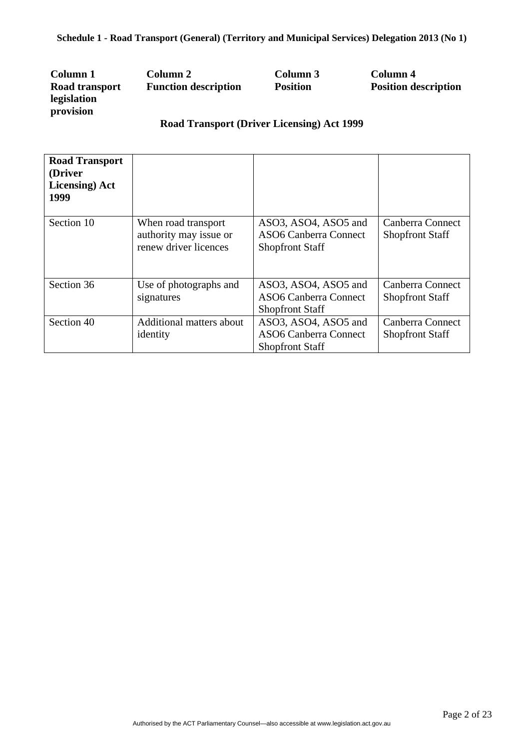| Column 1       | Column 2                    | Column 3        | Column 4                    |
|----------------|-----------------------------|-----------------|-----------------------------|
| Road transport | <b>Function description</b> | <b>Position</b> | <b>Position description</b> |
| legislation    |                             |                 |                             |
| provision      |                             |                 |                             |

# **Road Transport (Driver Licensing) Act 1999**

| <b>Road Transport</b><br>(Driver<br><b>Licensing</b> ) Act<br>1999 |                                                                        |                                                                                |                                            |
|--------------------------------------------------------------------|------------------------------------------------------------------------|--------------------------------------------------------------------------------|--------------------------------------------|
| Section 10                                                         | When road transport<br>authority may issue or<br>renew driver licences | ASO3, ASO4, ASO5 and<br><b>ASO6 Canberra Connect</b><br><b>Shopfront Staff</b> | Canberra Connect<br><b>Shopfront Staff</b> |
| Section 36                                                         | Use of photographs and<br>signatures                                   | ASO3, ASO4, ASO5 and<br><b>ASO6 Canberra Connect</b><br><b>Shopfront Staff</b> | Canberra Connect<br><b>Shopfront Staff</b> |
| Section 40                                                         | Additional matters about<br>identity                                   | ASO3, ASO4, ASO5 and<br><b>ASO6 Canberra Connect</b><br><b>Shopfront Staff</b> | Canberra Connect<br><b>Shopfront Staff</b> |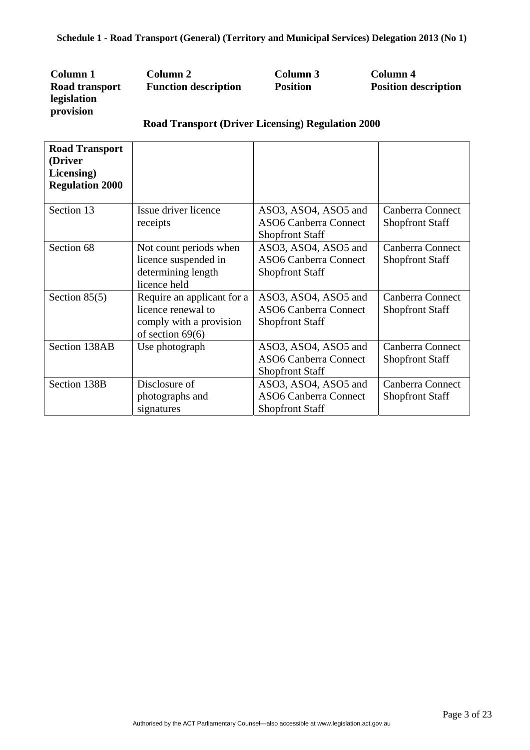| Column 1       | Column 2                    | Column 3        | Column 4                    |
|----------------|-----------------------------|-----------------|-----------------------------|
| Road transport | <b>Function description</b> | <b>Position</b> | <b>Position description</b> |
| legislation    |                             |                 |                             |
| provision      |                             |                 |                             |

## **Road Transport (Driver Licensing) Regulation 2000**

| <b>Road Transport</b><br>(Driver<br>Licensing)<br><b>Regulation 2000</b> |                                                                                                   |                                                                                |                                            |
|--------------------------------------------------------------------------|---------------------------------------------------------------------------------------------------|--------------------------------------------------------------------------------|--------------------------------------------|
| Section 13                                                               | Issue driver licence<br>receipts                                                                  | ASO3, ASO4, ASO5 and<br><b>ASO6 Canberra Connect</b><br><b>Shopfront Staff</b> | Canberra Connect<br><b>Shopfront Staff</b> |
| Section 68                                                               | Not count periods when<br>licence suspended in<br>determining length<br>licence held              | ASO3, ASO4, ASO5 and<br><b>ASO6 Canberra Connect</b><br><b>Shopfront Staff</b> | Canberra Connect<br><b>Shopfront Staff</b> |
| Section $85(5)$                                                          | Require an applicant for a<br>licence renewal to<br>comply with a provision<br>of section $69(6)$ | ASO3, ASO4, ASO5 and<br><b>ASO6 Canberra Connect</b><br><b>Shopfront Staff</b> | Canberra Connect<br><b>Shopfront Staff</b> |
| Section 138AB                                                            | Use photograph                                                                                    | ASO3, ASO4, ASO5 and<br><b>ASO6 Canberra Connect</b><br><b>Shopfront Staff</b> | Canberra Connect<br><b>Shopfront Staff</b> |
| Section 138B                                                             | Disclosure of<br>photographs and<br>signatures                                                    | ASO3, ASO4, ASO5 and<br><b>ASO6 Canberra Connect</b><br><b>Shopfront Staff</b> | Canberra Connect<br><b>Shopfront Staff</b> |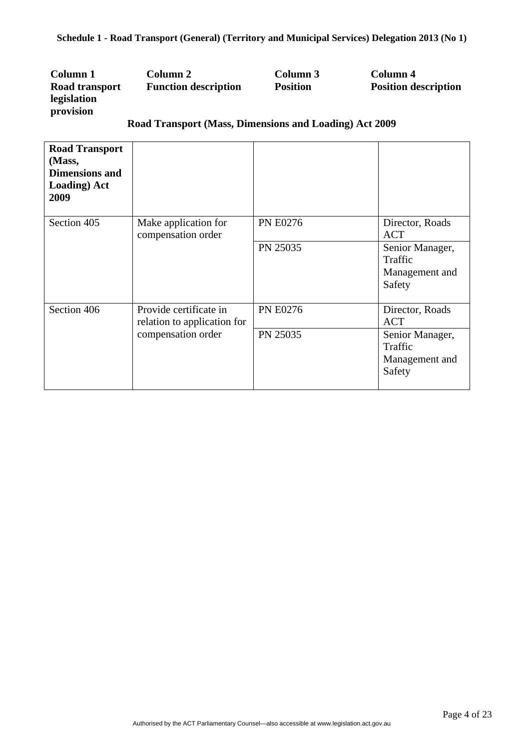| Column 1       | Column 2                    | Column 3        | Column 4                    |
|----------------|-----------------------------|-----------------|-----------------------------|
| Road transport | <b>Function description</b> | <b>Position</b> | <b>Position description</b> |
| legislation    |                             |                 |                             |
| provision      |                             |                 |                             |
|                |                             |                 |                             |

## **Road Transport (Mass, Dimensions and Loading) Act 2009**

| <b>Road Transport</b><br>(Mass,<br><b>Dimensions and</b><br><b>Loading</b> ) Act<br>2009 |                                                       |                 |                                                        |
|------------------------------------------------------------------------------------------|-------------------------------------------------------|-----------------|--------------------------------------------------------|
| Section 405                                                                              | Make application for<br>compensation order            | <b>PN E0276</b> | Director, Roads<br><b>ACT</b>                          |
|                                                                                          |                                                       | PN 25035        | Senior Manager,<br>Traffic<br>Management and<br>Safety |
| Section 406                                                                              | Provide certificate in<br>relation to application for | <b>PN E0276</b> | Director, Roads<br><b>ACT</b>                          |
|                                                                                          | compensation order                                    | PN 25035        | Senior Manager,<br>Traffic<br>Management and<br>Safety |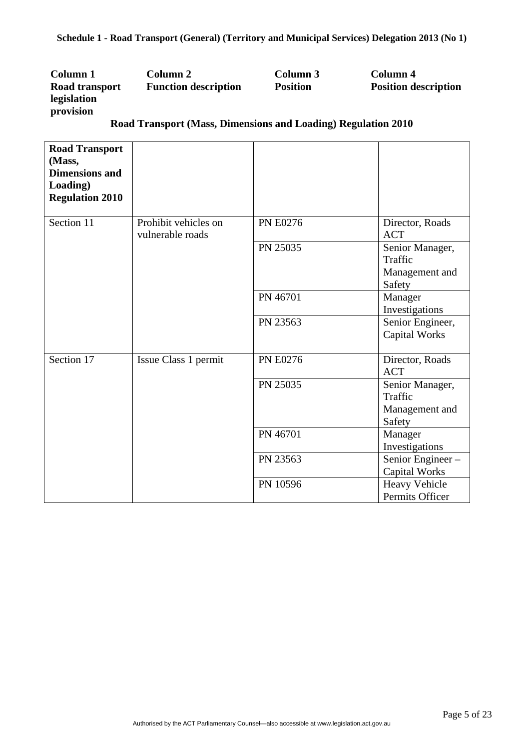| Column 1       | Column 2                    |  | Column 3        |  | Column 4                    |
|----------------|-----------------------------|--|-----------------|--|-----------------------------|
| Road transport | <b>Function description</b> |  | <b>Position</b> |  | <b>Position description</b> |
| legislation    |                             |  |                 |  |                             |
| provision      |                             |  |                 |  |                             |
|                |                             |  |                 |  |                             |

| <b>Road Transport</b><br>(Mass,<br><b>Dimensions and</b><br>Loading)<br><b>Regulation 2010</b> |                                          |                 |                                                        |
|------------------------------------------------------------------------------------------------|------------------------------------------|-----------------|--------------------------------------------------------|
| Section 11                                                                                     | Prohibit vehicles on<br>vulnerable roads | <b>PN E0276</b> | Director, Roads<br><b>ACT</b>                          |
|                                                                                                |                                          | PN 25035        | Senior Manager,<br>Traffic<br>Management and<br>Safety |
|                                                                                                |                                          | PN 46701        | Manager<br>Investigations                              |
|                                                                                                |                                          | PN 23563        | Senior Engineer,<br><b>Capital Works</b>               |
| Section 17                                                                                     | Issue Class 1 permit                     | <b>PN E0276</b> | Director, Roads<br><b>ACT</b>                          |
|                                                                                                |                                          | PN 25035        | Senior Manager,<br>Traffic<br>Management and<br>Safety |
|                                                                                                |                                          | PN 46701        | Manager<br>Investigations                              |
|                                                                                                |                                          | PN 23563        | Senior Engineer-<br>Capital Works                      |
|                                                                                                |                                          | PN 10596        | <b>Heavy Vehicle</b><br>Permits Officer                |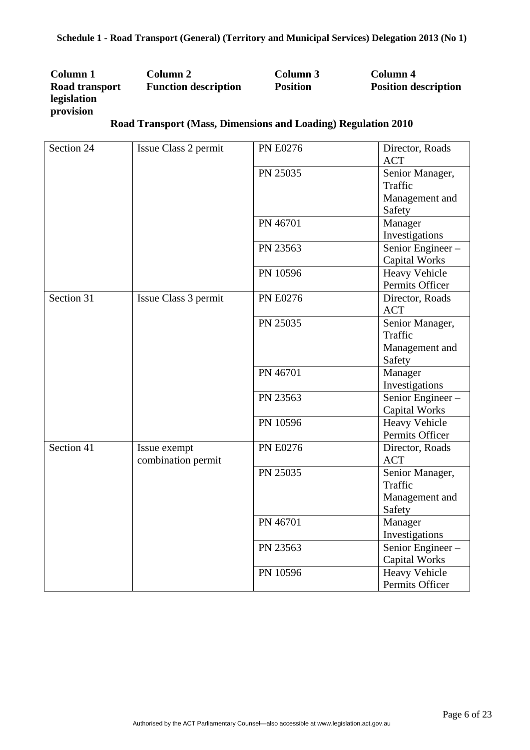| Column 1       | Column 2                    | Column 3        | Column 4                    |
|----------------|-----------------------------|-----------------|-----------------------------|
| Road transport | <b>Function description</b> | <b>Position</b> | <b>Position description</b> |
| legislation    |                             |                 |                             |
| provision      |                             |                 |                             |

| Section 24 | Issue Class 2 permit | <b>PN E0276</b> | Director, Roads      |
|------------|----------------------|-----------------|----------------------|
|            |                      |                 | <b>ACT</b>           |
|            |                      | PN 25035        | Senior Manager,      |
|            |                      |                 | Traffic              |
|            |                      |                 | Management and       |
|            |                      |                 | Safety               |
|            |                      | PN 46701        | Manager              |
|            |                      |                 | Investigations       |
|            |                      | PN 23563        | Senior Engineer-     |
|            |                      |                 | <b>Capital Works</b> |
|            |                      | PN 10596        | <b>Heavy Vehicle</b> |
|            |                      |                 | Permits Officer      |
| Section 31 | Issue Class 3 permit | <b>PN E0276</b> | Director, Roads      |
|            |                      |                 | <b>ACT</b>           |
|            |                      | PN 25035        | Senior Manager,      |
|            |                      |                 | Traffic              |
|            |                      |                 | Management and       |
|            |                      |                 | Safety               |
|            |                      | PN 46701        | Manager              |
|            |                      |                 | Investigations       |
|            |                      | PN 23563        | Senior Engineer-     |
|            |                      |                 | <b>Capital Works</b> |
|            |                      | PN 10596        | <b>Heavy Vehicle</b> |
|            |                      |                 | Permits Officer      |
| Section 41 | Issue exempt         | <b>PN E0276</b> | Director, Roads      |
|            | combination permit   |                 | <b>ACT</b>           |
|            |                      | PN 25035        | Senior Manager,      |
|            |                      |                 | Traffic              |
|            |                      |                 | Management and       |
|            |                      |                 | Safety               |
|            |                      | PN 46701        | Manager              |
|            |                      |                 | Investigations       |
|            |                      | PN 23563        | Senior Engineer-     |
|            |                      |                 | <b>Capital Works</b> |
|            |                      | PN 10596        | Heavy Vehicle        |
|            |                      |                 | Permits Officer      |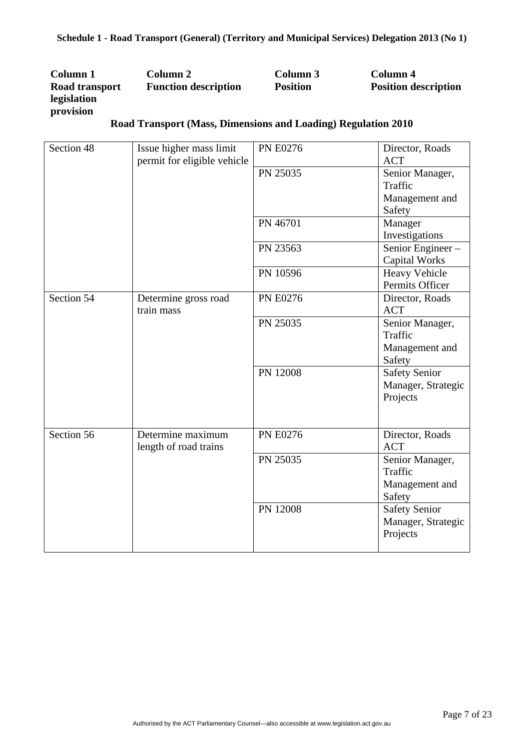| Column 1       | Column 2                    | Column 3        | Column 4                    |
|----------------|-----------------------------|-----------------|-----------------------------|
| Road transport | <b>Function description</b> | <b>Position</b> | <b>Position description</b> |
| legislation    |                             |                 |                             |
| provision      |                             |                 |                             |

| Section 48 | Issue higher mass limit<br>permit for eligible vehicle | <b>PN E0276</b> | Director, Roads<br><b>ACT</b>                          |
|------------|--------------------------------------------------------|-----------------|--------------------------------------------------------|
|            |                                                        | PN 25035        | Senior Manager,<br>Traffic<br>Management and           |
|            |                                                        | PN 46701        | Safety<br>Manager<br>Investigations                    |
|            |                                                        | PN 23563        | Senior Engineer-<br><b>Capital Works</b>               |
|            |                                                        | PN 10596        | <b>Heavy Vehicle</b><br>Permits Officer                |
| Section 54 | Determine gross road<br>train mass                     | <b>PN E0276</b> | Director, Roads<br><b>ACT</b>                          |
|            |                                                        | PN 25035        | Senior Manager,<br>Traffic<br>Management and<br>Safety |
|            |                                                        | PN 12008        | <b>Safety Senior</b><br>Manager, Strategic<br>Projects |
| Section 56 | Determine maximum<br>length of road trains             | <b>PN E0276</b> | Director, Roads<br><b>ACT</b>                          |
|            |                                                        | PN 25035        | Senior Manager,<br>Traffic<br>Management and<br>Safety |
|            |                                                        | PN 12008        | Safety Senior<br>Manager, Strategic<br>Projects        |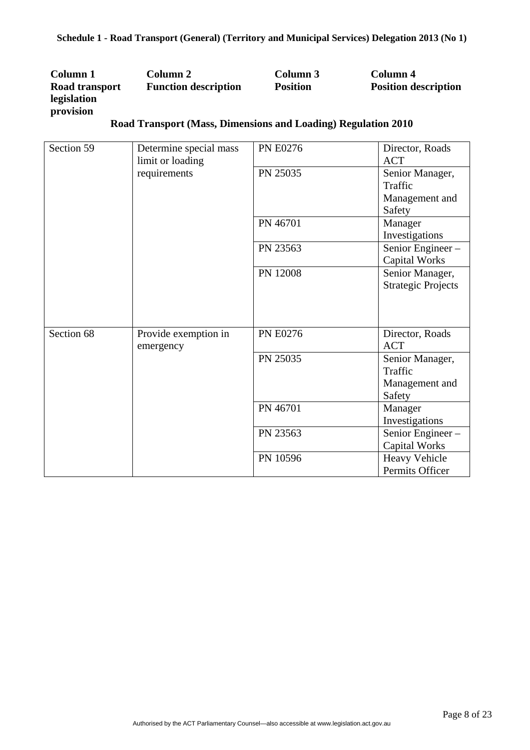| Column 1       | Column 2                    | Column 3        | Column 4                    |
|----------------|-----------------------------|-----------------|-----------------------------|
| Road transport | <b>Function description</b> | <b>Position</b> | <b>Position description</b> |
| legislation    |                             |                 |                             |
| provision      |                             |                 |                             |

| Section 59 | Determine special mass<br>limit or loading | <b>PN E0276</b> | Director, Roads<br><b>ACT</b> |
|------------|--------------------------------------------|-----------------|-------------------------------|
|            | requirements                               | PN 25035        | Senior Manager,               |
|            |                                            |                 | Traffic                       |
|            |                                            |                 | Management and                |
|            |                                            |                 | Safety                        |
|            |                                            | PN 46701        | Manager                       |
|            |                                            |                 | Investigations                |
|            |                                            | PN 23563        | Senior Engineer-              |
|            |                                            |                 | <b>Capital Works</b>          |
|            |                                            | PN 12008        | Senior Manager,               |
|            |                                            |                 | <b>Strategic Projects</b>     |
|            |                                            |                 |                               |
|            |                                            |                 |                               |
|            |                                            |                 |                               |
| Section 68 | Provide exemption in                       | <b>PN E0276</b> | Director, Roads               |
|            | emergency                                  |                 | <b>ACT</b>                    |
|            |                                            | PN 25035        | Senior Manager,               |
|            |                                            |                 | Traffic                       |
|            |                                            |                 | Management and                |
|            |                                            |                 | Safety                        |
|            |                                            | PN 46701        | Manager                       |
|            |                                            |                 | Investigations                |
|            |                                            | PN 23563        | Senior Engineer-              |
|            |                                            |                 | <b>Capital Works</b>          |
|            |                                            | PN 10596        | Heavy Vehicle                 |
|            |                                            |                 | Permits Officer               |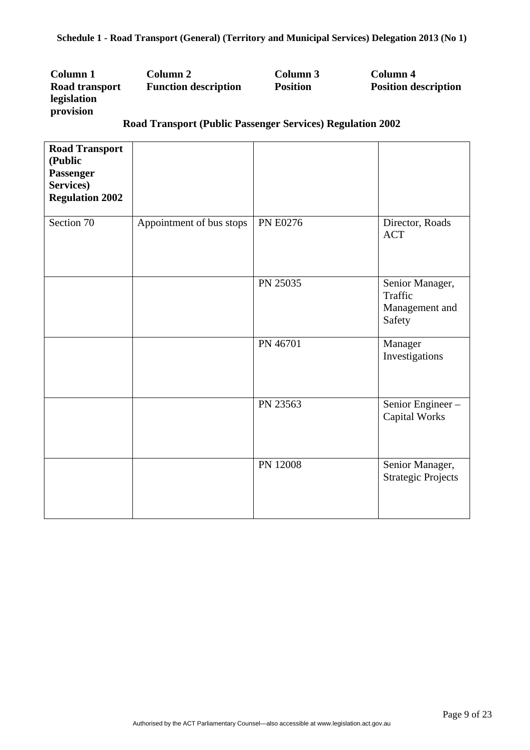| Column 1       | Column 2                    | Column 3        | Column 4                    |
|----------------|-----------------------------|-----------------|-----------------------------|
| Road transport | <b>Function description</b> | <b>Position</b> | <b>Position description</b> |
| legislation    |                             |                 |                             |
| provision      |                             |                 |                             |

# **Road Transport (Public Passenger Services) Regulation 2002**

| <b>Road Transport</b><br>(Public<br>Passenger<br>Services)<br><b>Regulation 2002</b> |                          |                 |                                                        |
|--------------------------------------------------------------------------------------|--------------------------|-----------------|--------------------------------------------------------|
| Section 70                                                                           | Appointment of bus stops | <b>PN E0276</b> | Director, Roads<br><b>ACT</b>                          |
|                                                                                      |                          | PN 25035        | Senior Manager,<br>Traffic<br>Management and<br>Safety |
|                                                                                      |                          | PN 46701        | Manager<br>Investigations                              |
|                                                                                      |                          | PN 23563        | Senior Engineer-<br><b>Capital Works</b>               |
|                                                                                      |                          | PN 12008        | Senior Manager,<br><b>Strategic Projects</b>           |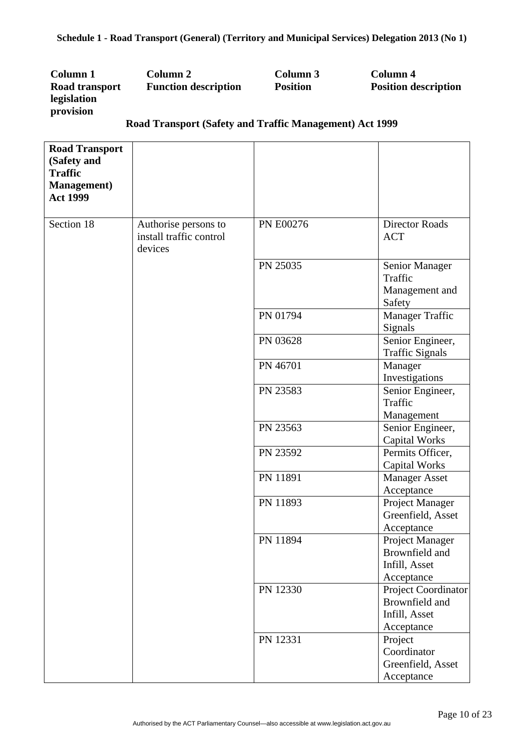| Column 1       | Column 2                    | Column 3        | Column 4                    |
|----------------|-----------------------------|-----------------|-----------------------------|
| Road transport | <b>Function description</b> | <b>Position</b> | <b>Position description</b> |
| legislation    |                             |                 |                             |
| provision      |                             |                 |                             |
| –              | $\sim$ $\sim$ $\sim$ $\sim$ |                 |                             |

## **Road Transport (Safety and Traffic Management) Act 1999**

| <b>Road Transport</b><br>(Safety and<br><b>Traffic</b><br><b>Management</b> )<br><b>Act 1999</b> |                                                            |           |                                                                      |
|--------------------------------------------------------------------------------------------------|------------------------------------------------------------|-----------|----------------------------------------------------------------------|
| Section 18                                                                                       | Authorise persons to<br>install traffic control<br>devices | PN E00276 | <b>Director Roads</b><br><b>ACT</b>                                  |
|                                                                                                  |                                                            | PN 25035  | Senior Manager<br>Traffic<br>Management and<br>Safety                |
|                                                                                                  |                                                            | PN 01794  | Manager Traffic<br>Signals                                           |
|                                                                                                  |                                                            | PN 03628  | Senior Engineer,<br><b>Traffic Signals</b>                           |
|                                                                                                  |                                                            | PN 46701  | Manager<br>Investigations                                            |
|                                                                                                  |                                                            | PN 23583  | Senior Engineer,<br>Traffic<br>Management                            |
|                                                                                                  |                                                            | PN 23563  | Senior Engineer,<br><b>Capital Works</b>                             |
|                                                                                                  |                                                            | PN 23592  | Permits Officer,<br>Capital Works                                    |
|                                                                                                  |                                                            | PN 11891  | <b>Manager Asset</b><br>Acceptance                                   |
|                                                                                                  |                                                            | PN 11893  | Project Manager<br>Greenfield, Asset<br>Acceptance                   |
|                                                                                                  |                                                            | PN 11894  | Project Manager<br>Brownfield and<br>Infill, Asset<br>Acceptance     |
|                                                                                                  |                                                            | PN 12330  | Project Coordinator<br>Brownfield and<br>Infill, Asset<br>Acceptance |
|                                                                                                  |                                                            | PN 12331  | Project<br>Coordinator<br>Greenfield, Asset<br>Acceptance            |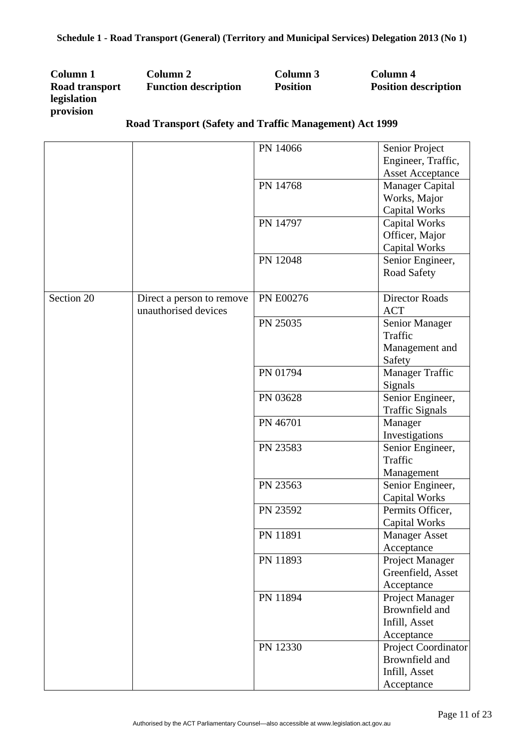| Column 1       | Column 2                    | Column 3        | Column 4                    |
|----------------|-----------------------------|-----------------|-----------------------------|
| Road transport | <b>Function description</b> | <b>Position</b> | <b>Position description</b> |
| legislation    |                             |                 |                             |
| provision      |                             |                 |                             |

# **Road Transport (Safety and Traffic Management) Act 1999**

|            |                           | PN 14066  | Senior Project          |
|------------|---------------------------|-----------|-------------------------|
|            |                           |           | Engineer, Traffic,      |
|            |                           |           | <b>Asset Acceptance</b> |
|            |                           | PN 14768  | Manager Capital         |
|            |                           |           | Works, Major            |
|            |                           |           | <b>Capital Works</b>    |
|            |                           | PN 14797  | Capital Works           |
|            |                           |           | Officer, Major          |
|            |                           |           | Capital Works           |
|            |                           | PN 12048  | Senior Engineer,        |
|            |                           |           | <b>Road Safety</b>      |
|            |                           |           |                         |
| Section 20 | Direct a person to remove | PN E00276 | <b>Director Roads</b>   |
|            | unauthorised devices      |           | <b>ACT</b>              |
|            |                           | PN 25035  | Senior Manager          |
|            |                           |           | Traffic                 |
|            |                           |           | Management and          |
|            |                           |           | Safety                  |
|            |                           | PN 01794  | Manager Traffic         |
|            |                           |           | Signals                 |
|            |                           | PN 03628  | Senior Engineer,        |
|            |                           |           | <b>Traffic Signals</b>  |
|            |                           | PN 46701  | Manager                 |
|            |                           |           | Investigations          |
|            |                           | PN 23583  | Senior Engineer,        |
|            |                           |           | Traffic                 |
|            |                           |           | Management              |
|            |                           | PN 23563  | Senior Engineer,        |
|            |                           |           | <b>Capital Works</b>    |
|            |                           | PN 23592  | Permits Officer,        |
|            |                           |           | Capital Works           |
|            |                           | PN 11891  | <b>Manager Asset</b>    |
|            |                           |           | Acceptance              |
|            |                           | PN 11893  | Project Manager         |
|            |                           |           | Greenfield, Asset       |
|            |                           |           | Acceptance              |
|            |                           | PN 11894  | Project Manager         |
|            |                           |           | Brownfield and          |
|            |                           |           | Infill, Asset           |
|            |                           |           | Acceptance              |
|            |                           | PN 12330  | Project Coordinator     |
|            |                           |           | Brownfield and          |
|            |                           |           | Infill, Asset           |
|            |                           |           | Acceptance              |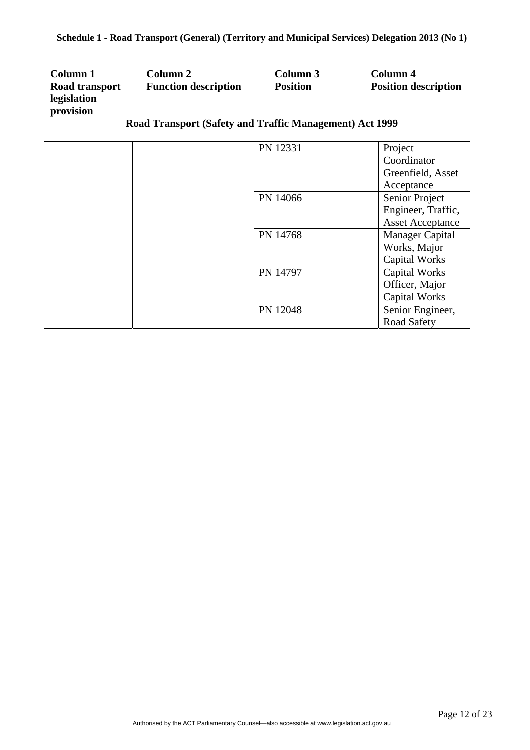| Column 1       | Column 2                    | Column 3        | Column 4                    |
|----------------|-----------------------------|-----------------|-----------------------------|
| Road transport | <b>Function description</b> | <b>Position</b> | <b>Position description</b> |
| legislation    |                             |                 |                             |
| provision      |                             |                 |                             |

# **Road Transport (Safety and Traffic Management) Act 1999**

| PN 12331 | Project                 |
|----------|-------------------------|
|          | Coordinator             |
|          | Greenfield, Asset       |
|          | Acceptance              |
| PN 14066 | Senior Project          |
|          | Engineer, Traffic,      |
|          | <b>Asset Acceptance</b> |
| PN 14768 | <b>Manager Capital</b>  |
|          | Works, Major            |
|          | <b>Capital Works</b>    |
| PN 14797 | <b>Capital Works</b>    |
|          | Officer, Major          |
|          | <b>Capital Works</b>    |
| PN 12048 | Senior Engineer,        |
|          | <b>Road Safety</b>      |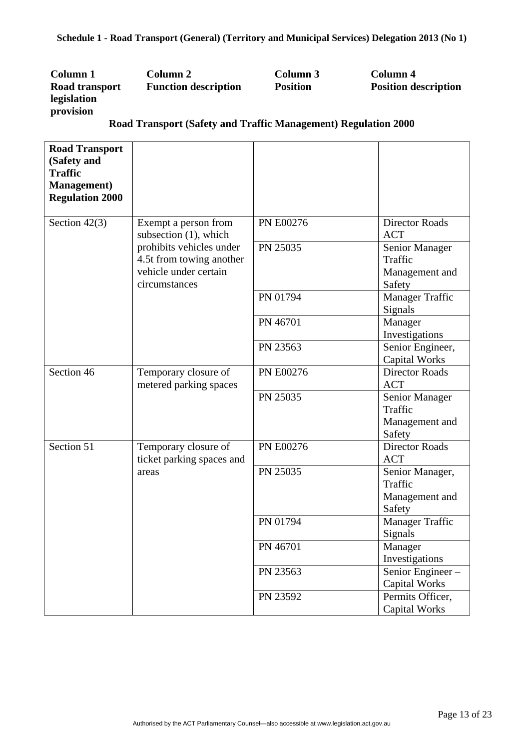| Column 1       |       | Column 2                    |                      |  |  | Column 3        |  | Column 4                    |
|----------------|-------|-----------------------------|----------------------|--|--|-----------------|--|-----------------------------|
| Road transport |       | <b>Function description</b> |                      |  |  | <b>Position</b> |  | <b>Position description</b> |
| legislation    |       |                             |                      |  |  |                 |  |                             |
| provision      |       |                             |                      |  |  |                 |  |                             |
|                | - - - |                             | $\sim$ $\sim$ $\sim$ |  |  |                 |  | $\cdots$                    |

## **Road Transport (Safety and Traffic Management) Regulation 2000**

| <b>Road Transport</b><br>(Safety and |                                                |                  |                                               |
|--------------------------------------|------------------------------------------------|------------------|-----------------------------------------------|
| <b>Traffic</b>                       |                                                |                  |                                               |
| <b>Management</b> )                  |                                                |                  |                                               |
| <b>Regulation 2000</b>               |                                                |                  |                                               |
|                                      |                                                |                  |                                               |
| Section $42(3)$                      | Exempt a person from                           | PN E00276        | <b>Director Roads</b>                         |
|                                      | subsection $(1)$ , which                       |                  | <b>ACT</b>                                    |
|                                      | prohibits vehicles under                       | PN 25035         | Senior Manager                                |
|                                      | 4.5t from towing another                       |                  | Traffic                                       |
|                                      | vehicle under certain                          |                  | Management and                                |
|                                      | circumstances                                  |                  | Safety                                        |
|                                      |                                                | PN 01794         | <b>Manager Traffic</b>                        |
|                                      |                                                |                  | Signals                                       |
|                                      |                                                | PN 46701         | Manager                                       |
|                                      |                                                |                  | Investigations                                |
|                                      |                                                | PN 23563         | Senior Engineer,                              |
| Section 46                           |                                                | <b>PN E00276</b> | <b>Capital Works</b><br><b>Director Roads</b> |
|                                      | Temporary closure of<br>metered parking spaces |                  | <b>ACT</b>                                    |
|                                      |                                                | PN 25035         | Senior Manager                                |
|                                      |                                                |                  | Traffic                                       |
|                                      |                                                |                  | Management and                                |
|                                      |                                                |                  | Safety                                        |
| Section 51                           | Temporary closure of                           | <b>PN E00276</b> | Director Roads                                |
|                                      | ticket parking spaces and                      |                  | <b>ACT</b>                                    |
|                                      | areas                                          | PN 25035         | Senior Manager,                               |
|                                      |                                                |                  | Traffic                                       |
|                                      |                                                |                  | Management and                                |
|                                      |                                                |                  | Safety                                        |
|                                      |                                                | PN 01794         | <b>Manager Traffic</b>                        |
|                                      |                                                |                  | Signals                                       |
|                                      |                                                | PN 46701         | Manager                                       |
|                                      |                                                |                  | Investigations                                |
|                                      |                                                | PN 23563         | Senior Engineer-                              |
|                                      |                                                |                  | <b>Capital Works</b>                          |
|                                      |                                                | PN 23592         | Permits Officer,                              |
|                                      |                                                |                  | <b>Capital Works</b>                          |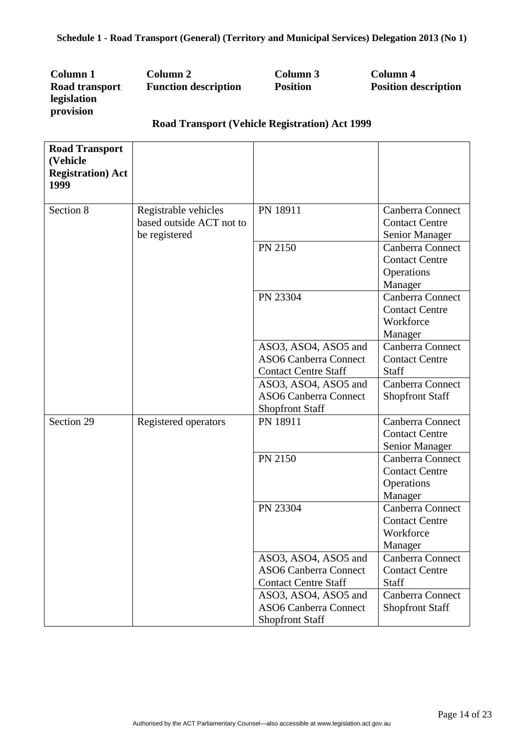| Column 1       | Column 2                    | Column 3        | Column 4                    |
|----------------|-----------------------------|-----------------|-----------------------------|
| Road transport | <b>Function description</b> | <b>Position</b> | <b>Position description</b> |
| legislation    |                             |                 |                             |
| provision      |                             |                 |                             |

## **Road Transport (Vehicle Registration) Act 1999**

| <b>Road Transport</b><br>(Vehicle                             |                                           |
|---------------------------------------------------------------|-------------------------------------------|
| <b>Registration</b> ) Act                                     |                                           |
| 1999                                                          |                                           |
| PN 18911                                                      |                                           |
| Section 8<br>Registrable vehicles<br>based outside ACT not to | Canberra Connect<br><b>Contact Centre</b> |
| be registered                                                 |                                           |
| PN 2150                                                       | Senior Manager<br>Canberra Connect        |
|                                                               | <b>Contact Centre</b>                     |
|                                                               | Operations                                |
|                                                               | Manager                                   |
| PN 23304                                                      | Canberra Connect                          |
|                                                               | <b>Contact Centre</b>                     |
|                                                               | Workforce                                 |
|                                                               | Manager                                   |
| ASO3, ASO4, ASO5 and                                          | Canberra Connect                          |
| <b>ASO6 Canberra Connect</b>                                  | <b>Contact Centre</b>                     |
| <b>Contact Centre Staff</b><br><b>Staff</b>                   |                                           |
| ASO3, ASO4, ASO5 and                                          | Canberra Connect                          |
| <b>ASO6 Canberra Connect</b>                                  | <b>Shopfront Staff</b>                    |
| <b>Shopfront Staff</b>                                        |                                           |
| Section 29<br>PN 18911<br>Registered operators                | Canberra Connect                          |
|                                                               | <b>Contact Centre</b>                     |
|                                                               | Senior Manager                            |
| PN 2150                                                       | Canberra Connect                          |
|                                                               | <b>Contact Centre</b>                     |
|                                                               | Operations                                |
|                                                               | Manager                                   |
| PN 23304                                                      | Canberra Connect                          |
|                                                               | <b>Contact Centre</b>                     |
|                                                               | Workforce                                 |
|                                                               | Manager                                   |
| ASO3, ASO4, ASO5 and<br><b>ASO6 Canberra Connect</b>          | Canberra Connect<br><b>Contact Centre</b> |
| <b>Contact Centre Staff</b><br>Staff                          |                                           |
| ASO3, ASO4, ASO5 and                                          | Canberra Connect                          |
| <b>ASO6 Canberra Connect</b>                                  | <b>Shopfront Staff</b>                    |
| <b>Shopfront Staff</b>                                        |                                           |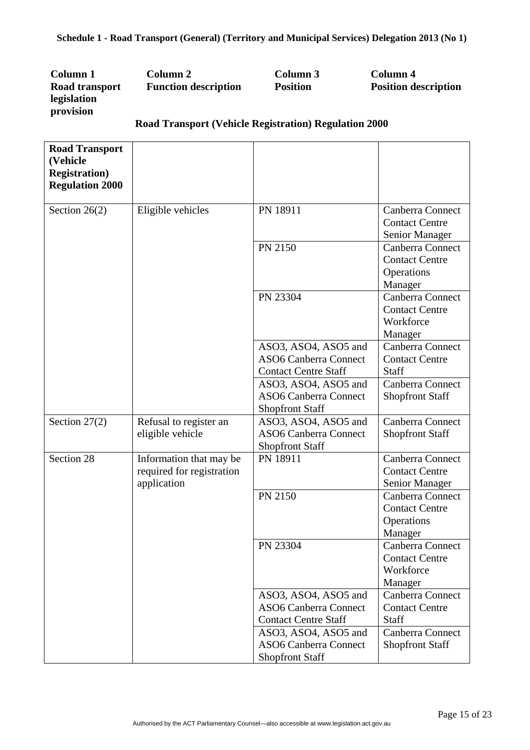| Column 1       | Column 2                    | Column 3        | Column 4                    |
|----------------|-----------------------------|-----------------|-----------------------------|
| Road transport | <b>Function description</b> | <b>Position</b> | <b>Position description</b> |
| legislation    |                             |                 |                             |
| provision      |                             |                 |                             |
|                |                             |                 |                             |

| <b>Road Transport</b><br>(Vehicle<br><b>Registration</b> )<br><b>Regulation 2000</b> |                                                                     |                                                                                     |                                                                    |
|--------------------------------------------------------------------------------------|---------------------------------------------------------------------|-------------------------------------------------------------------------------------|--------------------------------------------------------------------|
| Section $26(2)$                                                                      | Eligible vehicles                                                   | PN 18911                                                                            | Canberra Connect<br><b>Contact Centre</b><br>Senior Manager        |
|                                                                                      |                                                                     | PN 2150                                                                             | Canberra Connect<br><b>Contact Centre</b><br>Operations<br>Manager |
|                                                                                      |                                                                     | PN 23304                                                                            | Canberra Connect<br><b>Contact Centre</b><br>Workforce<br>Manager  |
|                                                                                      |                                                                     | ASO3, ASO4, ASO5 and<br><b>ASO6 Canberra Connect</b><br><b>Contact Centre Staff</b> | Canberra Connect<br><b>Contact Centre</b><br>Staff                 |
|                                                                                      |                                                                     | ASO3, ASO4, ASO5 and<br><b>ASO6 Canberra Connect</b><br><b>Shopfront Staff</b>      | Canberra Connect<br><b>Shopfront Staff</b>                         |
| Section $27(2)$                                                                      | Refusal to register an<br>eligible vehicle                          | ASO3, ASO4, ASO5 and<br><b>ASO6 Canberra Connect</b><br><b>Shopfront Staff</b>      | Canberra Connect<br>Shopfront Staff                                |
| Section 28                                                                           | Information that may be<br>required for registration<br>application | PN 18911                                                                            | Canberra Connect<br><b>Contact Centre</b><br>Senior Manager        |
|                                                                                      |                                                                     | PN 2150                                                                             | Canberra Connect<br><b>Contact Centre</b><br>Operations<br>Manager |
|                                                                                      |                                                                     | PN 23304                                                                            | Canberra Connect<br><b>Contact Centre</b><br>Workforce<br>Manager  |
|                                                                                      |                                                                     | ASO3, ASO4, ASO5 and<br><b>ASO6 Canberra Connect</b><br><b>Contact Centre Staff</b> | Canberra Connect<br><b>Contact Centre</b><br>Staff                 |
|                                                                                      |                                                                     | ASO3, ASO4, ASO5 and<br><b>ASO6 Canberra Connect</b><br><b>Shopfront Staff</b>      | Canberra Connect<br><b>Shopfront Staff</b>                         |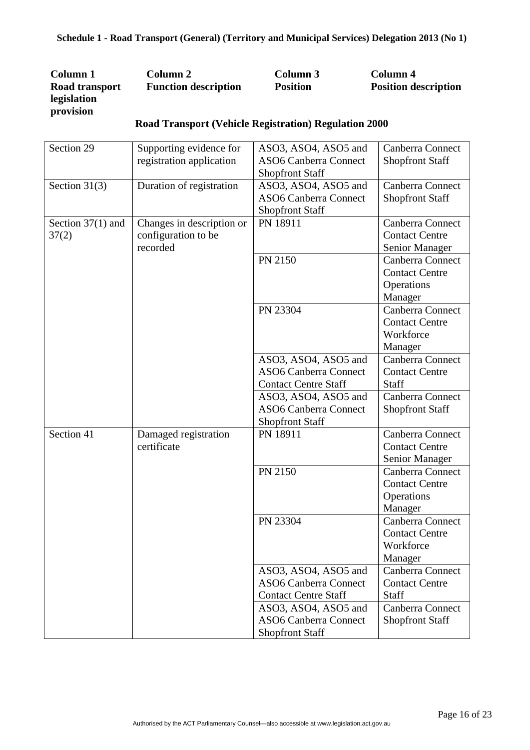| Column 1       | Column 2                    | Column 3        | Column 4                    |
|----------------|-----------------------------|-----------------|-----------------------------|
| Road transport | <b>Function description</b> | <b>Position</b> | <b>Position description</b> |
| legislation    |                             |                 |                             |
| provision      |                             |                 |                             |

| Section 29          | Supporting evidence for   | ASO3, ASO4, ASO5 and         | Canberra Connect       |
|---------------------|---------------------------|------------------------------|------------------------|
|                     | registration application  | <b>ASO6 Canberra Connect</b> | <b>Shopfront Staff</b> |
|                     |                           | <b>Shopfront Staff</b>       |                        |
| Section $31(3)$     | Duration of registration  | ASO3, ASO4, ASO5 and         | Canberra Connect       |
|                     |                           | <b>ASO6 Canberra Connect</b> | <b>Shopfront Staff</b> |
|                     |                           | <b>Shopfront Staff</b>       |                        |
| Section $37(1)$ and | Changes in description or | PN 18911                     | Canberra Connect       |
| 37(2)               | configuration to be       |                              | <b>Contact Centre</b>  |
|                     | recorded                  |                              | Senior Manager         |
|                     |                           | PN 2150                      | Canberra Connect       |
|                     |                           |                              | <b>Contact Centre</b>  |
|                     |                           |                              | Operations             |
|                     |                           |                              | Manager                |
|                     |                           | PN 23304                     | Canberra Connect       |
|                     |                           |                              | <b>Contact Centre</b>  |
|                     |                           |                              | Workforce              |
|                     |                           |                              | Manager                |
|                     |                           | ASO3, ASO4, ASO5 and         | Canberra Connect       |
|                     |                           | <b>ASO6 Canberra Connect</b> | <b>Contact Centre</b>  |
|                     |                           | <b>Contact Centre Staff</b>  | Staff                  |
|                     |                           | ASO3, ASO4, ASO5 and         | Canberra Connect       |
|                     |                           | <b>ASO6 Canberra Connect</b> | <b>Shopfront Staff</b> |
|                     |                           | <b>Shopfront Staff</b>       |                        |
| Section 41          | Damaged registration      | PN 18911                     | Canberra Connect       |
|                     | certificate               |                              | <b>Contact Centre</b>  |
|                     |                           |                              | Senior Manager         |
|                     |                           | PN 2150                      | Canberra Connect       |
|                     |                           |                              | <b>Contact Centre</b>  |
|                     |                           |                              | Operations             |
|                     |                           |                              | Manager                |
|                     |                           | PN 23304                     | Canberra Connect       |
|                     |                           |                              | <b>Contact Centre</b>  |
|                     |                           |                              | Workforce              |
|                     |                           |                              | Manager                |
|                     |                           | ASO3, ASO4, ASO5 and         | Canberra Connect       |
|                     |                           | <b>ASO6 Canberra Connect</b> | <b>Contact Centre</b>  |
|                     |                           | <b>Contact Centre Staff</b>  | Staff                  |
|                     |                           | ASO3, ASO4, ASO5 and         | Canberra Connect       |
|                     |                           | <b>ASO6 Canberra Connect</b> | <b>Shopfront Staff</b> |
|                     |                           | <b>Shopfront Staff</b>       |                        |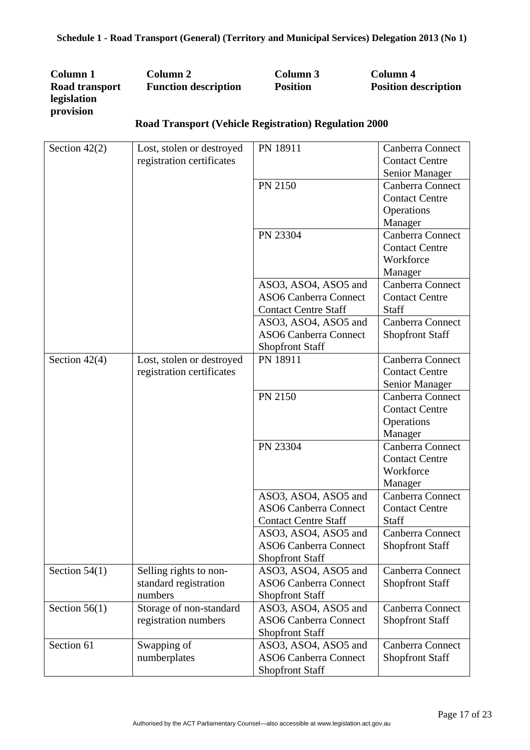| Column 1       | Column 2                    | Column 3          | Column 4                    |
|----------------|-----------------------------|-------------------|-----------------------------|
| Road transport | <b>Function description</b> | <b>Position</b>   | <b>Position description</b> |
| legislation    |                             |                   |                             |
| provision      |                             | $\cdots$ $\cdots$ |                             |

| Section $42(2)$ | Lost, stolen or destroyed | PN 18911                     | Canberra Connect       |
|-----------------|---------------------------|------------------------------|------------------------|
|                 | registration certificates |                              | <b>Contact Centre</b>  |
|                 |                           |                              | Senior Manager         |
|                 |                           | PN 2150                      | Canberra Connect       |
|                 |                           |                              | <b>Contact Centre</b>  |
|                 |                           |                              | Operations             |
|                 |                           |                              | Manager                |
|                 |                           | PN 23304                     | Canberra Connect       |
|                 |                           |                              | <b>Contact Centre</b>  |
|                 |                           |                              | Workforce              |
|                 |                           |                              | Manager                |
|                 |                           | ASO3, ASO4, ASO5 and         | Canberra Connect       |
|                 |                           | <b>ASO6 Canberra Connect</b> | <b>Contact Centre</b>  |
|                 |                           | <b>Contact Centre Staff</b>  | Staff                  |
|                 |                           | ASO3, ASO4, ASO5 and         | Canberra Connect       |
|                 |                           | <b>ASO6 Canberra Connect</b> | <b>Shopfront Staff</b> |
|                 |                           | <b>Shopfront Staff</b>       |                        |
| Section $42(4)$ | Lost, stolen or destroyed | PN 18911                     | Canberra Connect       |
|                 | registration certificates |                              | <b>Contact Centre</b>  |
|                 |                           |                              | Senior Manager         |
|                 |                           | PN 2150                      | Canberra Connect       |
|                 |                           |                              | <b>Contact Centre</b>  |
|                 |                           |                              | Operations             |
|                 |                           |                              | Manager                |
|                 |                           | PN 23304                     | Canberra Connect       |
|                 |                           |                              | <b>Contact Centre</b>  |
|                 |                           |                              | Workforce              |
|                 |                           |                              | Manager                |
|                 |                           | ASO3, ASO4, ASO5 and         | Canberra Connect       |
|                 |                           | <b>ASO6 Canberra Connect</b> | <b>Contact Centre</b>  |
|                 |                           | <b>Contact Centre Staff</b>  | Staff                  |
|                 |                           | ASO3, ASO4, ASO5 and         | Canberra Connect       |
|                 |                           | <b>ASO6 Canberra Connect</b> | <b>Shopfront Staff</b> |
|                 |                           | <b>Shopfront Staff</b>       |                        |
| Section $54(1)$ | Selling rights to non-    | ASO3, ASO4, ASO5 and         | Canberra Connect       |
|                 | standard registration     | <b>ASO6 Canberra Connect</b> | <b>Shopfront Staff</b> |
|                 | numbers                   | <b>Shopfront Staff</b>       |                        |
| Section $56(1)$ | Storage of non-standard   | ASO3, ASO4, ASO5 and         | Canberra Connect       |
|                 | registration numbers      | <b>ASO6 Canberra Connect</b> | <b>Shopfront Staff</b> |
|                 |                           | <b>Shopfront Staff</b>       |                        |
| Section 61      | Swapping of               | ASO3, ASO4, ASO5 and         | Canberra Connect       |
|                 | numberplates              | <b>ASO6 Canberra Connect</b> | <b>Shopfront Staff</b> |
|                 |                           | <b>Shopfront Staff</b>       |                        |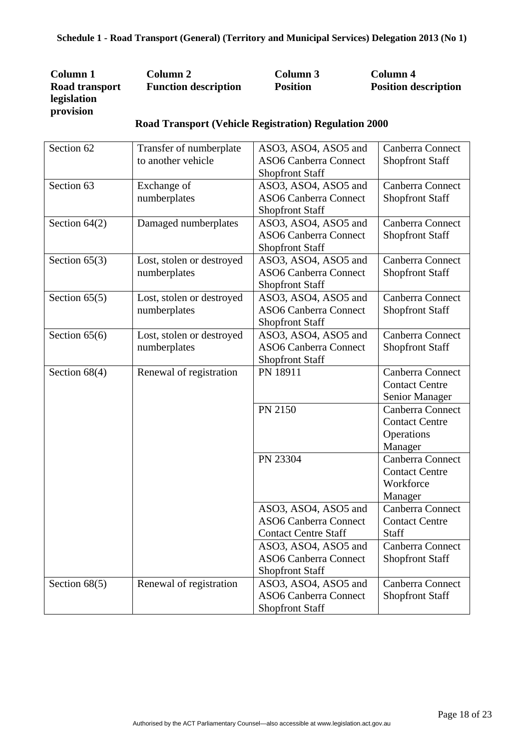| Column 1       | Column 2                    | Column 3        | Column 4                    |
|----------------|-----------------------------|-----------------|-----------------------------|
| Road transport | <b>Function description</b> | <b>Position</b> | <b>Position description</b> |
| legislation    |                             |                 |                             |
| provision      |                             |                 |                             |

| Section 62      | Transfer of numberplate   | ASO3, ASO4, ASO5 and         | Canberra Connect       |
|-----------------|---------------------------|------------------------------|------------------------|
|                 | to another vehicle        | <b>ASO6 Canberra Connect</b> | <b>Shopfront Staff</b> |
|                 |                           | <b>Shopfront Staff</b>       |                        |
| Section 63      | Exchange of               | ASO3, ASO4, ASO5 and         | Canberra Connect       |
|                 | numberplates              | <b>ASO6 Canberra Connect</b> | <b>Shopfront Staff</b> |
|                 |                           | <b>Shopfront Staff</b>       |                        |
| Section $64(2)$ | Damaged numberplates      | ASO3, ASO4, ASO5 and         | Canberra Connect       |
|                 |                           | <b>ASO6 Canberra Connect</b> | <b>Shopfront Staff</b> |
|                 |                           | <b>Shopfront Staff</b>       |                        |
| Section $65(3)$ | Lost, stolen or destroyed | ASO3, ASO4, ASO5 and         | Canberra Connect       |
|                 | numberplates              | <b>ASO6 Canberra Connect</b> | <b>Shopfront Staff</b> |
|                 |                           | <b>Shopfront Staff</b>       |                        |
| Section $65(5)$ | Lost, stolen or destroyed | ASO3, ASO4, ASO5 and         | Canberra Connect       |
|                 | numberplates              | <b>ASO6 Canberra Connect</b> | <b>Shopfront Staff</b> |
|                 |                           | <b>Shopfront Staff</b>       |                        |
| Section $65(6)$ | Lost, stolen or destroyed | ASO3, ASO4, ASO5 and         | Canberra Connect       |
|                 | numberplates              | <b>ASO6 Canberra Connect</b> | <b>Shopfront Staff</b> |
|                 |                           | <b>Shopfront Staff</b>       |                        |
| Section $68(4)$ | Renewal of registration   | PN 18911                     | Canberra Connect       |
|                 |                           |                              | <b>Contact Centre</b>  |
|                 |                           |                              | Senior Manager         |
|                 |                           | PN 2150                      | Canberra Connect       |
|                 |                           |                              | <b>Contact Centre</b>  |
|                 |                           |                              | Operations             |
|                 |                           |                              | Manager                |
|                 |                           | PN 23304                     | Canberra Connect       |
|                 |                           |                              | <b>Contact Centre</b>  |
|                 |                           |                              | Workforce              |
|                 |                           |                              | Manager                |
|                 |                           | ASO3, ASO4, ASO5 and         | Canberra Connect       |
|                 |                           | <b>ASO6 Canberra Connect</b> | <b>Contact Centre</b>  |
|                 |                           | <b>Contact Centre Staff</b>  | Staff                  |
|                 |                           | ASO3, ASO4, ASO5 and         | Canberra Connect       |
|                 |                           | <b>ASO6 Canberra Connect</b> | <b>Shopfront Staff</b> |
|                 |                           | <b>Shopfront Staff</b>       |                        |
| Section $68(5)$ | Renewal of registration   | ASO3, ASO4, ASO5 and         | Canberra Connect       |
|                 |                           | <b>ASO6 Canberra Connect</b> | <b>Shopfront Staff</b> |
|                 |                           | <b>Shopfront Staff</b>       |                        |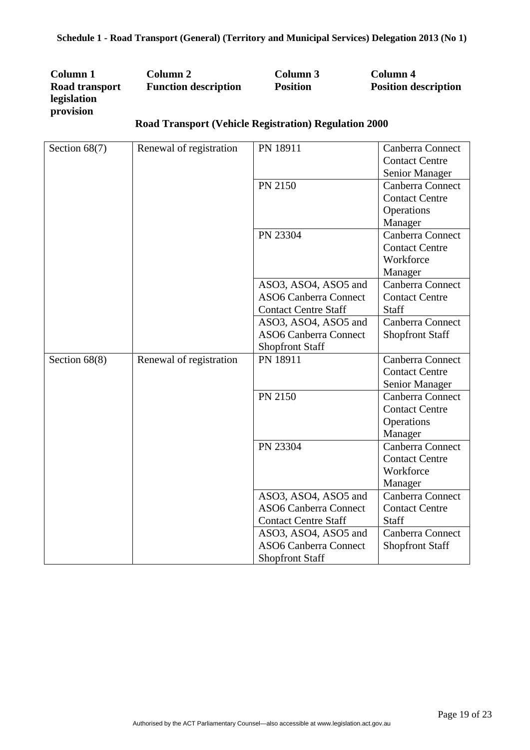| Column 1       | Column 2                                                     | Column 3        | Column 4                    |
|----------------|--------------------------------------------------------------|-----------------|-----------------------------|
| Road transport | <b>Function description</b>                                  | <b>Position</b> | <b>Position description</b> |
| legislation    |                                                              |                 |                             |
| provision      |                                                              |                 |                             |
|                | <b>Deed Trepenent (Vehicle Decisivation) Deculation 2000</b> |                 |                             |

| Section $68(7)$ | Renewal of registration | PN 18911                     | Canberra Connect       |
|-----------------|-------------------------|------------------------------|------------------------|
|                 |                         |                              | <b>Contact Centre</b>  |
|                 |                         |                              | Senior Manager         |
|                 |                         | PN 2150                      | Canberra Connect       |
|                 |                         |                              | <b>Contact Centre</b>  |
|                 |                         |                              | Operations             |
|                 |                         |                              | Manager                |
|                 |                         | PN 23304                     | Canberra Connect       |
|                 |                         |                              | <b>Contact Centre</b>  |
|                 |                         |                              | Workforce              |
|                 |                         |                              | Manager                |
|                 |                         | ASO3, ASO4, ASO5 and         | Canberra Connect       |
|                 |                         | <b>ASO6 Canberra Connect</b> | <b>Contact Centre</b>  |
|                 |                         | <b>Contact Centre Staff</b>  | Staff                  |
|                 |                         | ASO3, ASO4, ASO5 and         | Canberra Connect       |
|                 |                         | <b>ASO6 Canberra Connect</b> | <b>Shopfront Staff</b> |
|                 |                         | <b>Shopfront Staff</b>       |                        |
| Section $68(8)$ | Renewal of registration | PN 18911                     | Canberra Connect       |
|                 |                         |                              | <b>Contact Centre</b>  |
|                 |                         |                              | Senior Manager         |
|                 |                         | PN 2150                      | Canberra Connect       |
|                 |                         |                              | <b>Contact Centre</b>  |
|                 |                         |                              | Operations             |
|                 |                         |                              | Manager                |
|                 |                         | PN 23304                     | Canberra Connect       |
|                 |                         |                              | <b>Contact Centre</b>  |
|                 |                         |                              | Workforce              |
|                 |                         |                              | Manager                |
|                 |                         | ASO3, ASO4, ASO5 and         | Canberra Connect       |
|                 |                         | <b>ASO6 Canberra Connect</b> | <b>Contact Centre</b>  |
|                 |                         | <b>Contact Centre Staff</b>  | Staff                  |
|                 |                         | ASO3, ASO4, ASO5 and         | Canberra Connect       |
|                 |                         | <b>ASO6 Canberra Connect</b> | Shopfront Staff        |
|                 |                         | <b>Shopfront Staff</b>       |                        |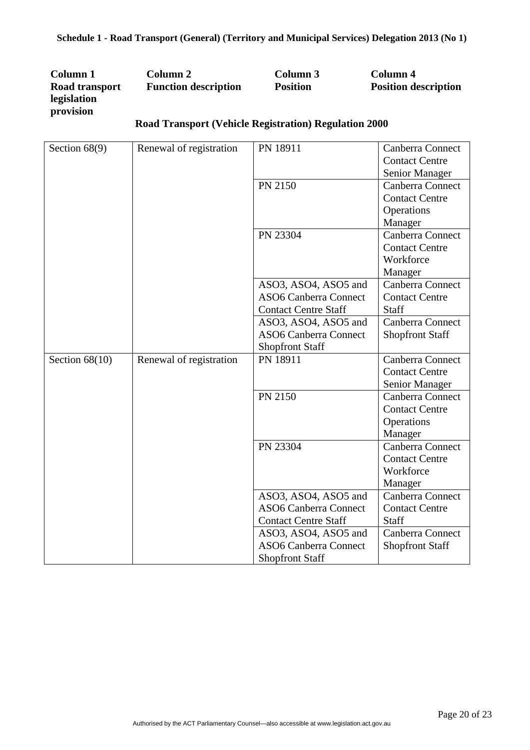| Column 1       | Column 2                                                     | Column 3        | Column 4                    |
|----------------|--------------------------------------------------------------|-----------------|-----------------------------|
| Road transport | <b>Function description</b>                                  | <b>Position</b> | <b>Position description</b> |
| legislation    |                                                              |                 |                             |
| provision      |                                                              |                 |                             |
|                | <b>Deed Trepenent (Vehicle Decisivation) Deculation 2000</b> |                 |                             |

| Section $68(9)$  | Renewal of registration | PN 18911                     | Canberra Connect       |
|------------------|-------------------------|------------------------------|------------------------|
|                  |                         |                              | <b>Contact Centre</b>  |
|                  |                         |                              | Senior Manager         |
|                  |                         | PN 2150                      | Canberra Connect       |
|                  |                         |                              | <b>Contact Centre</b>  |
|                  |                         |                              | Operations             |
|                  |                         |                              | Manager                |
|                  |                         | PN 23304                     | Canberra Connect       |
|                  |                         |                              | <b>Contact Centre</b>  |
|                  |                         |                              | Workforce              |
|                  |                         |                              | Manager                |
|                  |                         | ASO3, ASO4, ASO5 and         | Canberra Connect       |
|                  |                         | <b>ASO6 Canberra Connect</b> | <b>Contact Centre</b>  |
|                  |                         | <b>Contact Centre Staff</b>  | Staff                  |
|                  |                         | ASO3, ASO4, ASO5 and         | Canberra Connect       |
|                  |                         | <b>ASO6 Canberra Connect</b> | <b>Shopfront Staff</b> |
|                  |                         | <b>Shopfront Staff</b>       |                        |
| Section $68(10)$ | Renewal of registration | PN 18911                     | Canberra Connect       |
|                  |                         |                              | <b>Contact Centre</b>  |
|                  |                         |                              | Senior Manager         |
|                  |                         | PN 2150                      | Canberra Connect       |
|                  |                         |                              | <b>Contact Centre</b>  |
|                  |                         |                              | Operations             |
|                  |                         |                              | Manager                |
|                  |                         | PN 23304                     | Canberra Connect       |
|                  |                         |                              | <b>Contact Centre</b>  |
|                  |                         |                              | Workforce              |
|                  |                         |                              | Manager                |
|                  |                         | ASO3, ASO4, ASO5 and         | Canberra Connect       |
|                  |                         | <b>ASO6 Canberra Connect</b> | <b>Contact Centre</b>  |
|                  |                         | <b>Contact Centre Staff</b>  | Staff                  |
|                  |                         | ASO3, ASO4, ASO5 and         | Canberra Connect       |
|                  |                         | <b>ASO6 Canberra Connect</b> | <b>Shopfront Staff</b> |
|                  |                         | <b>Shopfront Staff</b>       |                        |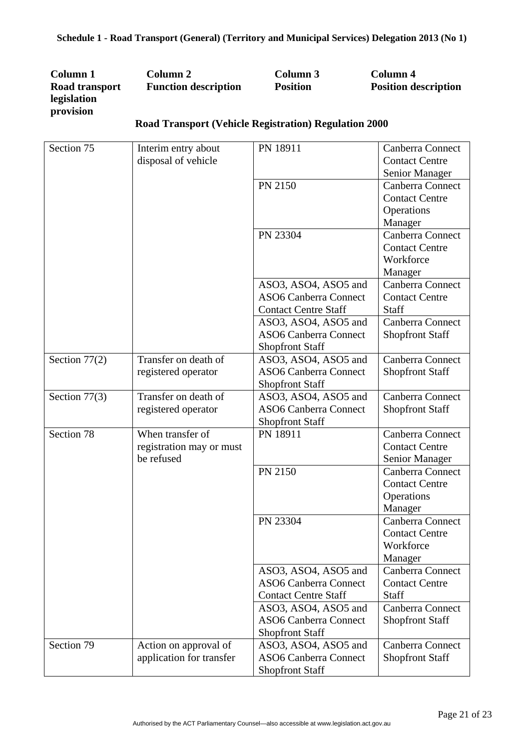| Column 1       | Column 2                    | Column 3        | Column 4                    |
|----------------|-----------------------------|-----------------|-----------------------------|
| Road transport | <b>Function description</b> | <b>Position</b> | <b>Position description</b> |
| legislation    |                             |                 |                             |
| provision      |                             |                 |                             |

| Section 75      | Interim entry about      | PN 18911                     | Canberra Connect       |
|-----------------|--------------------------|------------------------------|------------------------|
|                 | disposal of vehicle      |                              | <b>Contact Centre</b>  |
|                 |                          |                              | Senior Manager         |
|                 |                          | PN 2150                      | Canberra Connect       |
|                 |                          |                              | <b>Contact Centre</b>  |
|                 |                          |                              | Operations             |
|                 |                          |                              | Manager                |
|                 |                          | PN 23304                     | Canberra Connect       |
|                 |                          |                              | <b>Contact Centre</b>  |
|                 |                          |                              | Workforce              |
|                 |                          |                              | Manager                |
|                 |                          | ASO3, ASO4, ASO5 and         | Canberra Connect       |
|                 |                          | <b>ASO6 Canberra Connect</b> | <b>Contact Centre</b>  |
|                 |                          | <b>Contact Centre Staff</b>  | <b>Staff</b>           |
|                 |                          | ASO3, ASO4, ASO5 and         | Canberra Connect       |
|                 |                          | <b>ASO6 Canberra Connect</b> | <b>Shopfront Staff</b> |
|                 |                          | <b>Shopfront Staff</b>       |                        |
| Section $77(2)$ | Transfer on death of     | ASO3, ASO4, ASO5 and         | Canberra Connect       |
|                 | registered operator      | <b>ASO6 Canberra Connect</b> | <b>Shopfront Staff</b> |
|                 |                          | <b>Shopfront Staff</b>       |                        |
| Section 77(3)   | Transfer on death of     | ASO3, ASO4, ASO5 and         | Canberra Connect       |
|                 | registered operator      | <b>ASO6 Canberra Connect</b> | <b>Shopfront Staff</b> |
|                 |                          | <b>Shopfront Staff</b>       |                        |
| Section 78      | When transfer of         | PN 18911                     | Canberra Connect       |
|                 | registration may or must |                              | <b>Contact Centre</b>  |
|                 | be refused               |                              | Senior Manager         |
|                 |                          | PN 2150                      | Canberra Connect       |
|                 |                          |                              | <b>Contact Centre</b>  |
|                 |                          |                              | Operations             |
|                 |                          |                              | Manager                |
|                 |                          | PN 23304                     | Canberra Connect       |
|                 |                          |                              | <b>Contact Centre</b>  |
|                 |                          |                              | Workforce              |
|                 |                          |                              | Manager                |
|                 |                          | ASO3, ASO4, ASO5 and         | Canberra Connect       |
|                 |                          | <b>ASO6 Canberra Connect</b> | <b>Contact Centre</b>  |
|                 |                          | <b>Contact Centre Staff</b>  | <b>Staff</b>           |
|                 |                          | ASO3, ASO4, ASO5 and         | Canberra Connect       |
|                 |                          | <b>ASO6 Canberra Connect</b> | <b>Shopfront Staff</b> |
|                 |                          | <b>Shopfront Staff</b>       |                        |
| Section 79      | Action on approval of    | ASO3, ASO4, ASO5 and         | Canberra Connect       |
|                 | application for transfer | <b>ASO6 Canberra Connect</b> | <b>Shopfront Staff</b> |
|                 |                          | <b>Shopfront Staff</b>       |                        |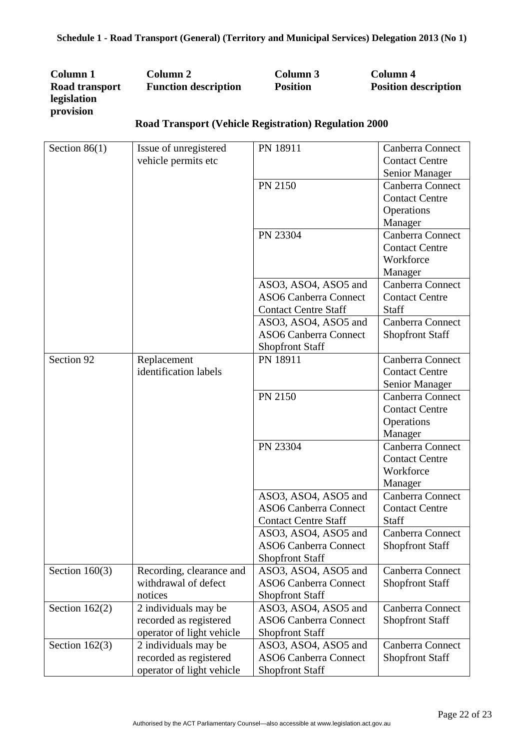| Column 1       | Column 2                    | Column 3        | Column 4                    |
|----------------|-----------------------------|-----------------|-----------------------------|
| Road transport | <b>Function description</b> | <b>Position</b> | <b>Position description</b> |
| legislation    |                             |                 |                             |
| provision      |                             |                 |                             |

| Section $86(1)$  | Issue of unregistered     | PN 18911                     | Canberra Connect       |
|------------------|---------------------------|------------------------------|------------------------|
|                  | vehicle permits etc       |                              | <b>Contact Centre</b>  |
|                  |                           |                              | Senior Manager         |
|                  |                           | PN 2150                      | Canberra Connect       |
|                  |                           |                              | <b>Contact Centre</b>  |
|                  |                           |                              | Operations             |
|                  |                           |                              | Manager                |
|                  |                           | PN 23304                     | Canberra Connect       |
|                  |                           |                              | <b>Contact Centre</b>  |
|                  |                           |                              | Workforce              |
|                  |                           |                              | Manager                |
|                  |                           | ASO3, ASO4, ASO5 and         | Canberra Connect       |
|                  |                           | <b>ASO6 Canberra Connect</b> | <b>Contact Centre</b>  |
|                  |                           | <b>Contact Centre Staff</b>  | <b>Staff</b>           |
|                  |                           | ASO3, ASO4, ASO5 and         | Canberra Connect       |
|                  |                           | <b>ASO6 Canberra Connect</b> | <b>Shopfront Staff</b> |
|                  |                           | <b>Shopfront Staff</b>       |                        |
| Section 92       | Replacement               | PN 18911                     | Canberra Connect       |
|                  | identification labels     |                              | <b>Contact Centre</b>  |
|                  |                           |                              | Senior Manager         |
|                  |                           | PN 2150                      | Canberra Connect       |
|                  |                           |                              | <b>Contact Centre</b>  |
|                  |                           |                              | Operations             |
|                  |                           |                              | Manager                |
|                  |                           | PN 23304                     | Canberra Connect       |
|                  |                           |                              | <b>Contact Centre</b>  |
|                  |                           |                              | Workforce              |
|                  |                           |                              | Manager                |
|                  |                           | ASO3, ASO4, ASO5 and         | Canberra Connect       |
|                  |                           | <b>ASO6 Canberra Connect</b> | <b>Contact Centre</b>  |
|                  |                           | <b>Contact Centre Staff</b>  | Staff                  |
|                  |                           | ASO3, ASO4, ASO5 and         | Canberra Connect       |
|                  |                           | <b>ASO6 Canberra Connect</b> | <b>Shopfront Staff</b> |
|                  |                           | <b>Shopfront Staff</b>       |                        |
| Section $160(3)$ | Recording, clearance and  | ASO3, ASO4, ASO5 and         | Canberra Connect       |
|                  | withdrawal of defect      | <b>ASO6 Canberra Connect</b> | <b>Shopfront Staff</b> |
|                  | notices                   | <b>Shopfront Staff</b>       |                        |
| Section $162(2)$ | 2 individuals may be      | ASO3, ASO4, ASO5 and         | Canberra Connect       |
|                  | recorded as registered    | <b>ASO6 Canberra Connect</b> | <b>Shopfront Staff</b> |
|                  | operator of light vehicle | <b>Shopfront Staff</b>       |                        |
| Section $162(3)$ | 2 individuals may be      | ASO3, ASO4, ASO5 and         | Canberra Connect       |
|                  | recorded as registered    | <b>ASO6 Canberra Connect</b> | <b>Shopfront Staff</b> |
|                  | operator of light vehicle | <b>Shopfront Staff</b>       |                        |